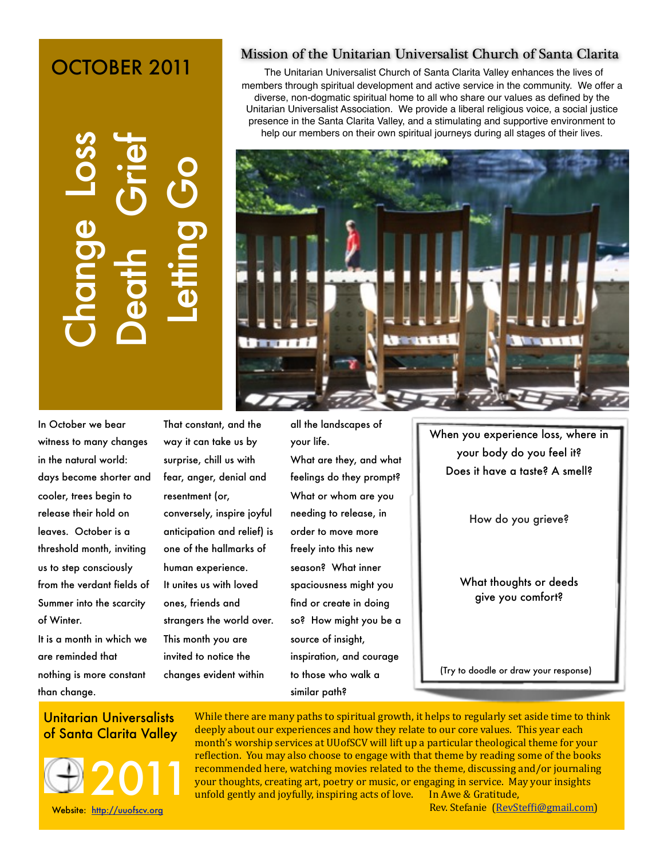# OCTOBER 2011

of Santa Clarita Valley<br>
of Santa Clarica Change Change Change Change Change Change Change Change Change Change Change Change Change Change Change Change Change Change Change Change Change Change Change Change Change Chang

## In October we bear witness to many changes in the natural world: days become shorter and cooler, trees begin to release their hold on leaves. October is a threshold month, inviting us to step consciously from the verdant fields of Summer into the scarcity of Winter.

It is a month in which we are reminded that nothing is more constant than change.

That constant, and the way it can take us by surprise, chill us with fear, anger, denial and resentment (or, conversely, inspire joyful anticipation and relief) is one of the hallmarks of human experience. It unites us with loved ones, friends and strangers the world over. This month you are invited to notice the changes evident within

# all the landscapes of

your life. What are they, and what feelings do they prompt? What or whom are you needing to release, in order to move more freely into this new season? What inner spaciousness might you find or create in doing so? How might you be a source of insight, inspiration, and courage to those who walk a similar path?

When you experience loss, where in your body do you feel it? Does it have a taste? A smell?

How do you grieve?

What thoughts or deeds give you comfort?

(Try to doodle or draw your response)

# Unitarian Universalists



While there are many paths to spiritual growth, it helps to regularly set aside time to think deeply about our experiences and how they relate to our core values. This year each month's worship services at UUofSCV will lift up a particular theological theme for your reflection. You may also choose to engage with that theme by reading some of the books recommended here, watching movies related to the theme, discussing and/or journaling your thoughts, creating art, poetry or music, or engaging in service. May your insights unfold gently and joyfully, inspiring acts of love. In Awe & Gratitude,

Rev. Stefanie (RevSteffi@gmail.com)

### Mission of the Unitarian Universalist Church of Santa Clarita

The Unitarian Universalist Church of Santa Clarita Valley enhances the lives of members through spiritual development and active service in the community. We offer a diverse, non-dogmatic spiritual home to all who share our values as defined by the Unitarian Universalist Association. We provide a liberal religious voice, a social justice presence in the Santa Clarita Valley, and a stimulating and supportive environment to help our members on their own spiritual journeys during all stages of their lives.